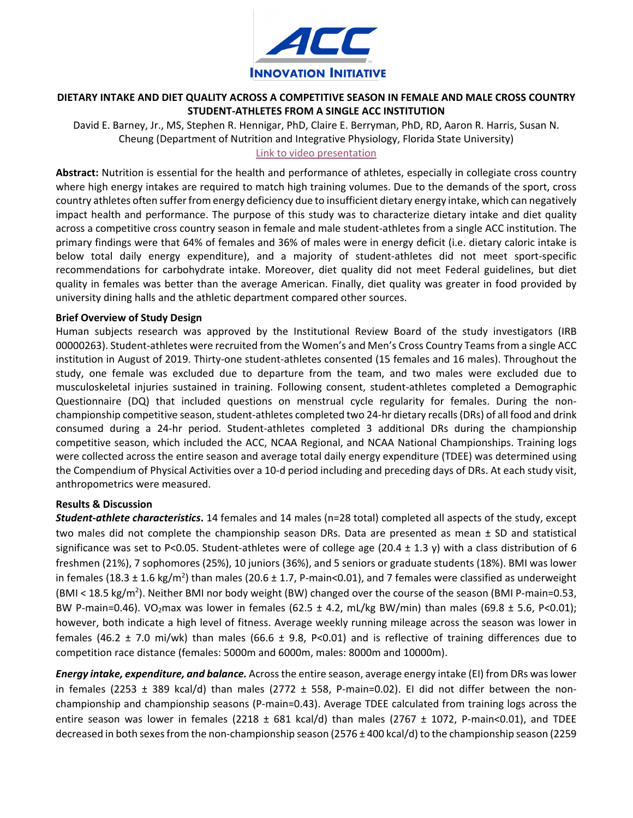

## **DIETARY INTAKE AND DIET QUALITY ACROSS A COMPETITIVE SEASON IN FEMALE AND MALE CROSS COUNTRY STUDENT-ATHLETES FROM A SINGLE ACC INSTITUTION**

David E. Barney, Jr., MS, Stephen R. Hennigar, PhD, Claire E. Berryman, PhD, RD, Aaron R. Harris, Susan N. Cheung (Department of Nutrition and Integrative Physiology, Florida State University) [Link to video presentation](https://vimeo.com/620453324)

**Abstract:** Nutrition is essential for the health and performance of athletes, especially in collegiate cross country where high energy intakes are required to match high training volumes. Due to the demands of the sport, cross country athletes often suffer from energy deficiency due to insufficient dietary energy intake, which can negatively impact health and performance. The purpose of this study was to characterize dietary intake and diet quality across a competitive cross country season in female and male student-athletes from a single ACC institution. The primary findings were that 64% of females and 36% of males were in energy deficit (i.e. dietary caloric intake is below total daily energy expenditure), and a majority of student-athletes did not meet sport-specific recommendations for carbohydrate intake. Moreover, diet quality did not meet Federal guidelines, but diet quality in females was better than the average American. Finally, diet quality was greater in food provided by university dining halls and the athletic department compared other sources.

## **Brief Overview of Study Design**

Human subjects research was approved by the Institutional Review Board of the study investigators (IRB 00000263). Student-athletes were recruited from the Women's and Men's Cross Country Teams from a single ACC institution in August of 2019. Thirty-one student-athletes consented (15 females and 16 males). Throughout the study, one female was excluded due to departure from the team, and two males were excluded due to musculoskeletal injuries sustained in training. Following consent, student-athletes completed a Demographic Questionnaire (DQ) that included questions on menstrual cycle regularity for females. During the nonchampionship competitive season, student-athletes completed two 24-hr dietary recalls(DRs) of all food and drink consumed during a 24-hr period. Student-athletes completed 3 additional DRs during the championship competitive season, which included the ACC, NCAA Regional, and NCAA National Championships. Training logs were collected across the entire season and average total daily energy expenditure (TDEE) was determined using the Compendium of Physical Activities over a 10-d period including and preceding days of DRs. At each study visit, anthropometrics were measured.

## **Results & Discussion**

*Student-athlete characteristics***.** 14 females and 14 males (n=28 total) completed all aspects of the study, except two males did not complete the championship season DRs. Data are presented as mean ± SD and statistical significance was set to P<0.05. Student-athletes were of college age (20.4  $\pm$  1.3 y) with a class distribution of 6 freshmen (21%), 7 sophomores (25%), 10 juniors (36%), and 5 seniors or graduate students (18%). BMI was lower in females (18.3  $\pm$  1.6 kg/m<sup>2</sup>) than males (20.6  $\pm$  1.7, P-main<0.01), and 7 females were classified as underweight (BMI < 18.5 kg/m<sup>2</sup>). Neither BMI nor body weight (BW) changed over the course of the season (BMI P-main=0.53, BW P-main=0.46). VO<sub>2</sub>max was lower in females (62.5 ± 4.2, mL/kg BW/min) than males (69.8 ± 5.6, P<0.01); however, both indicate a high level of fitness. Average weekly running mileage across the season was lower in females (46.2  $\pm$  7.0 mi/wk) than males (66.6  $\pm$  9.8, P<0.01) and is reflective of training differences due to competition race distance (females: 5000m and 6000m, males: 8000m and 10000m).

*Energy intake, expenditure, and balance.* Across the entire season, average energy intake (EI) from DRs was lower in females (2253  $\pm$  389 kcal/d) than males (2772  $\pm$  558, P-main=0.02). El did not differ between the nonchampionship and championship seasons (P-main=0.43). Average TDEE calculated from training logs across the entire season was lower in females (2218  $\pm$  681 kcal/d) than males (2767  $\pm$  1072, P-main<0.01), and TDEE decreased in both sexes from the non-championship season (2576 ± 400 kcal/d) to the championship season (2259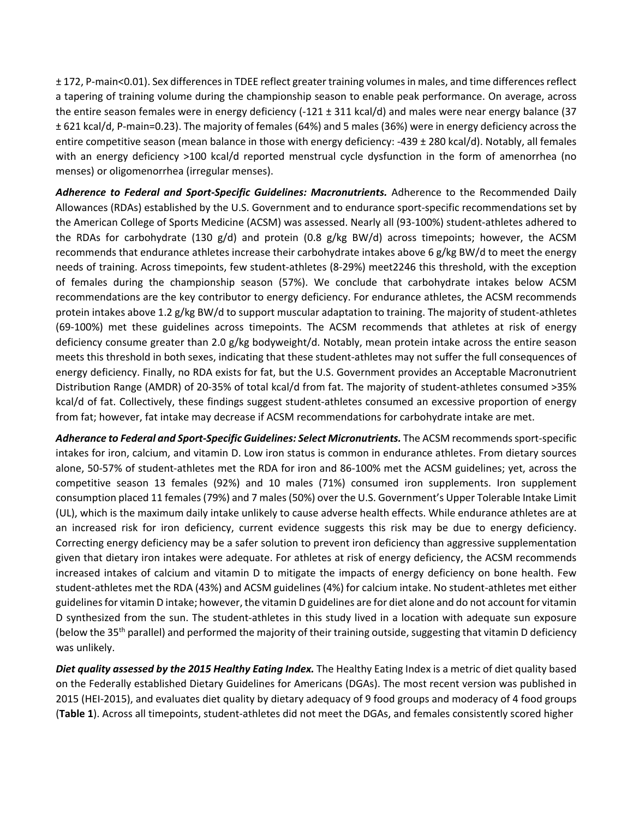± 172, P-main<0.01). Sex differences in TDEE reflect greater training volumes in males, and time differences reflect a tapering of training volume during the championship season to enable peak performance. On average, across the entire season females were in energy deficiency (-121 ± 311 kcal/d) and males were near energy balance (37 ± 621 kcal/d, P-main=0.23). The majority of females (64%) and 5 males (36%) were in energy deficiency across the entire competitive season (mean balance in those with energy deficiency: -439 ± 280 kcal/d). Notably, all females with an energy deficiency >100 kcal/d reported menstrual cycle dysfunction in the form of amenorrhea (no menses) or oligomenorrhea (irregular menses).

*Adherence to Federal and Sport-Specific Guidelines: Macronutrients.* Adherence to the Recommended Daily Allowances (RDAs) established by the U.S. Government and to endurance sport-specific recommendations set by the American College of Sports Medicine (ACSM) was assessed. Nearly all (93-100%) student-athletes adhered to the RDAs for carbohydrate (130 g/d) and protein (0.8 g/kg BW/d) across timepoints; however, the ACSM recommends that endurance athletes increase their carbohydrate intakes above 6 g/kg BW/d to meet the energy needs of training. Across timepoints, few student-athletes (8-29%) meet2246 this threshold, with the exception of females during the championship season (57%). We conclude that carbohydrate intakes below ACSM recommendations are the key contributor to energy deficiency. For endurance athletes, the ACSM recommends protein intakes above 1.2 g/kg BW/d to support muscular adaptation to training. The majority of student-athletes (69-100%) met these guidelines across timepoints. The ACSM recommends that athletes at risk of energy deficiency consume greater than 2.0 g/kg bodyweight/d. Notably, mean protein intake across the entire season meets this threshold in both sexes, indicating that these student-athletes may not suffer the full consequences of energy deficiency. Finally, no RDA exists for fat, but the U.S. Government provides an Acceptable Macronutrient Distribution Range (AMDR) of 20-35% of total kcal/d from fat. The majority of student-athletes consumed >35% kcal/d of fat. Collectively, these findings suggest student-athletes consumed an excessive proportion of energy from fat; however, fat intake may decrease if ACSM recommendations for carbohydrate intake are met.

*Adherance to Federal and Sport-Specific Guidelines: Select Micronutrients.* The ACSM recommends sport-specific intakes for iron, calcium, and vitamin D. Low iron status is common in endurance athletes. From dietary sources alone, 50-57% of student-athletes met the RDA for iron and 86-100% met the ACSM guidelines; yet, across the competitive season 13 females (92%) and 10 males (71%) consumed iron supplements. Iron supplement consumption placed 11 females (79%) and 7 males (50%) over the U.S. Government's Upper Tolerable Intake Limit (UL), which is the maximum daily intake unlikely to cause adverse health effects. While endurance athletes are at an increased risk for iron deficiency, current evidence suggests this risk may be due to energy deficiency. Correcting energy deficiency may be a safer solution to prevent iron deficiency than aggressive supplementation given that dietary iron intakes were adequate. For athletes at risk of energy deficiency, the ACSM recommends increased intakes of calcium and vitamin D to mitigate the impacts of energy deficiency on bone health. Few student-athletes met the RDA (43%) and ACSM guidelines (4%) for calcium intake. No student-athletes met either guidelines for vitamin D intake; however, the vitamin D guidelines are for diet alone and do not account for vitamin D synthesized from the sun. The student-athletes in this study lived in a location with adequate sun exposure (below the 35<sup>th</sup> parallel) and performed the majority of their training outside, suggesting that vitamin D deficiency was unlikely.

*Diet quality assessed by the 2015 Healthy Eating Index.* The Healthy Eating Index is a metric of diet quality based on the Federally established Dietary Guidelines for Americans (DGAs). The most recent version was published in 2015 (HEI-2015), and evaluates diet quality by dietary adequacy of 9 food groups and moderacy of 4 food groups (**Table 1**). Across all timepoints, student-athletes did not meet the DGAs, and females consistently scored higher